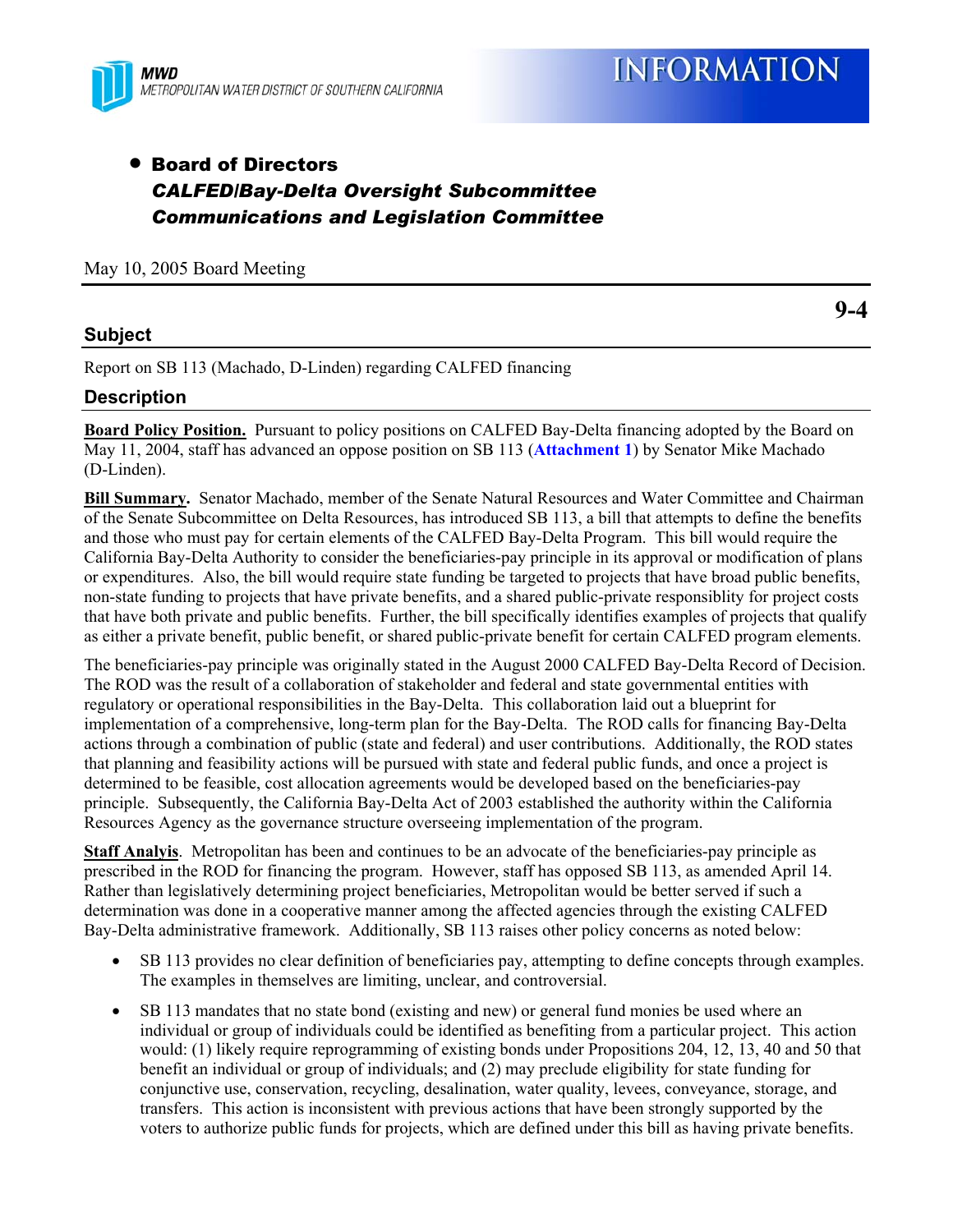

# • Board of Directors *CALFED/Bay-Delta Oversight Subcommittee Communications and Legislation Committee*

May 10, 2005 Board Meeting

### **Subject**

**9-4** 

Report on SB 113 (Machado, D-Linden) regarding CALFED financing

### **Description**

**Board Policy Position.** Pursuant to policy positions on CALFED Bay-Delta financing adopted by the Board on May 11, 2004, staff has advanced an oppose position on SB 113 (**Attachment 1**) by Senator Mike Machado (D-Linden).

**Bill Summary.** Senator Machado, member of the Senate Natural Resources and Water Committee and Chairman of the Senate Subcommittee on Delta Resources, has introduced SB 113, a bill that attempts to define the benefits and those who must pay for certain elements of the CALFED Bay-Delta Program. This bill would require the California Bay-Delta Authority to consider the beneficiaries-pay principle in its approval or modification of plans or expenditures. Also, the bill would require state funding be targeted to projects that have broad public benefits, non-state funding to projects that have private benefits, and a shared public-private responsiblity for project costs that have both private and public benefits. Further, the bill specifically identifies examples of projects that qualify as either a private benefit, public benefit, or shared public-private benefit for certain CALFED program elements.

The beneficiaries-pay principle was originally stated in the August 2000 CALFED Bay-Delta Record of Decision. The ROD was the result of a collaboration of stakeholder and federal and state governmental entities with regulatory or operational responsibilities in the Bay-Delta. This collaboration laid out a blueprint for implementation of a comprehensive, long-term plan for the Bay-Delta. The ROD calls for financing Bay-Delta actions through a combination of public (state and federal) and user contributions. Additionally, the ROD states that planning and feasibility actions will be pursued with state and federal public funds, and once a project is determined to be feasible, cost allocation agreements would be developed based on the beneficiaries-pay principle. Subsequently, the California Bay-Delta Act of 2003 established the authority within the California Resources Agency as the governance structure overseeing implementation of the program.

**Staff Analyis**. Metropolitan has been and continues to be an advocate of the beneficiaries-pay principle as prescribed in the ROD for financing the program. However, staff has opposed SB 113, as amended April 14. Rather than legislatively determining project beneficiaries, Metropolitan would be better served if such a determination was done in a cooperative manner among the affected agencies through the existing CALFED Bay-Delta administrative framework. Additionally, SB 113 raises other policy concerns as noted below:

- SB 113 provides no clear definition of beneficiaries pay, attempting to define concepts through examples. The examples in themselves are limiting, unclear, and controversial.
- SB 113 mandates that no state bond (existing and new) or general fund monies be used where an individual or group of individuals could be identified as benefiting from a particular project. This action would: (1) likely require reprogramming of existing bonds under Propositions 204, 12, 13, 40 and 50 that benefit an individual or group of individuals; and (2) may preclude eligibility for state funding for conjunctive use, conservation, recycling, desalination, water quality, levees, conveyance, storage, and transfers. This action is inconsistent with previous actions that have been strongly supported by the voters to authorize public funds for projects, which are defined under this bill as having private benefits.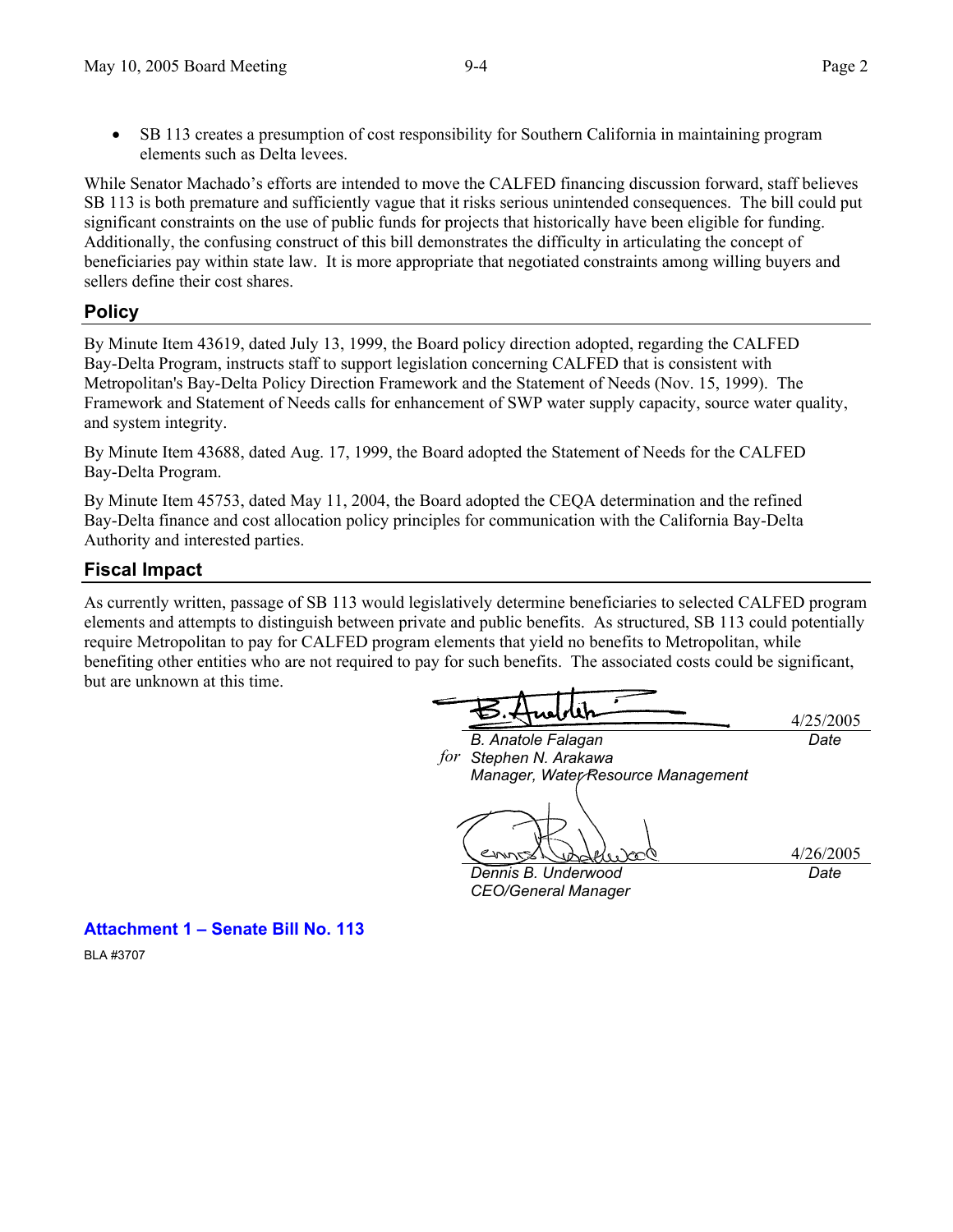While Senator Machado's efforts are intended to move the CALFED financing discussion forward, staff believes SB 113 is both premature and sufficiently vague that it risks serious unintended consequences. The bill could put significant constraints on the use of public funds for projects that historically have been eligible for funding. Additionally, the confusing construct of this bill demonstrates the difficulty in articulating the concept of beneficiaries pay within state law. It is more appropriate that negotiated constraints among willing buyers and sellers define their cost shares.

### **Policy**

By Minute Item 43619, dated July 13, 1999, the Board policy direction adopted, regarding the CALFED Bay-Delta Program, instructs staff to support legislation concerning CALFED that is consistent with Metropolitan's Bay-Delta Policy Direction Framework and the Statement of Needs (Nov. 15, 1999). The Framework and Statement of Needs calls for enhancement of SWP water supply capacity, source water quality, and system integrity.

By Minute Item 43688, dated Aug. 17, 1999, the Board adopted the Statement of Needs for the CALFED Bay-Delta Program.

By Minute Item 45753, dated May 11, 2004, the Board adopted the CEQA determination and the refined Bay-Delta finance and cost allocation policy principles for communication with the California Bay-Delta Authority and interested parties.

## **Fiscal Impact**

As currently written, passage of SB 113 would legislatively determine beneficiaries to selected CALFED program elements and attempts to distinguish between private and public benefits. As structured, SB 113 could potentially require Metropolitan to pay for CALFED program elements that yield no benefits to Metropolitan, while benefiting other entities who are not required to pay for such benefits. The associated costs could be significant, but are unknown at this time.

*B. Anatole Falagan Stephen N. Arakawa forManager, Water Resource Management* 

*Dennis B. Underwood* 

*CEO/General Manager* 

4/26/2005 *Date* 

4/25/2005

*Date* 

**Attachment 1 – Senate Bill No. 113**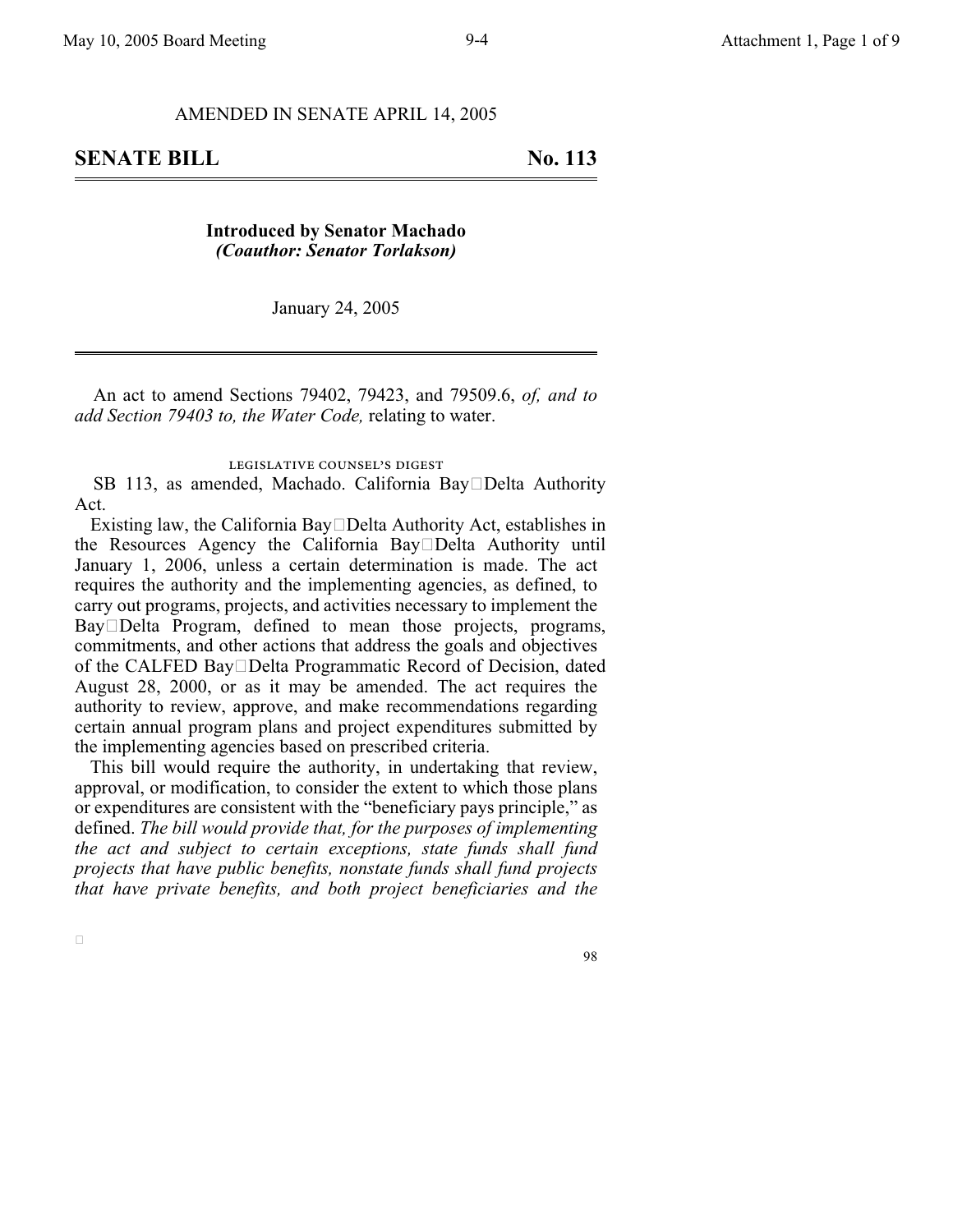#### AMENDED IN SENATE APRIL 14, 2005

### **Introduced by Senator Machado** *(Coauthor: Senator Torlakson)*

January 24, 2005

An act to amend Sections 79402, 79423, and 79509.6, *of, and to add Section 79403 to, the Water Code,* relating to water.

#### legislative counsel's digest

SB 113, as amended, Machado. California Bay $\square$ Delta Authority Act.

Existing law, the California Bay $\square$ Delta Authority Act, establishes in the Resources Agency the California BayDelta Authority until January 1, 2006, unless a certain determination is made. The act requires the authority and the implementing agencies, as defined, to carry out programs, projects, and activities necessary to implement the Bay Delta Program, defined to mean those projects, programs, commitments, and other actions that address the goals and objectives of the CALFED Bay□Delta Programmatic Record of Decision, dated August 28, 2000, or as it may be amended. The act requires the authority to review, approve, and make recommendations regarding certain annual program plans and project expenditures submitted by the implementing agencies based on prescribed criteria.

This bill would require the authority, in undertaking that review, approval, or modification, to consider the extent to which those plans or expenditures are consistent with the "beneficiary pays principle," as defined. *The bill would provide that, for the purposes of implementing the act and subject to certain exceptions, state funds shall fund projects that have public benefits, nonstate funds shall fund projects that have private benefits, and both project beneficiaries and the*

 $\Box$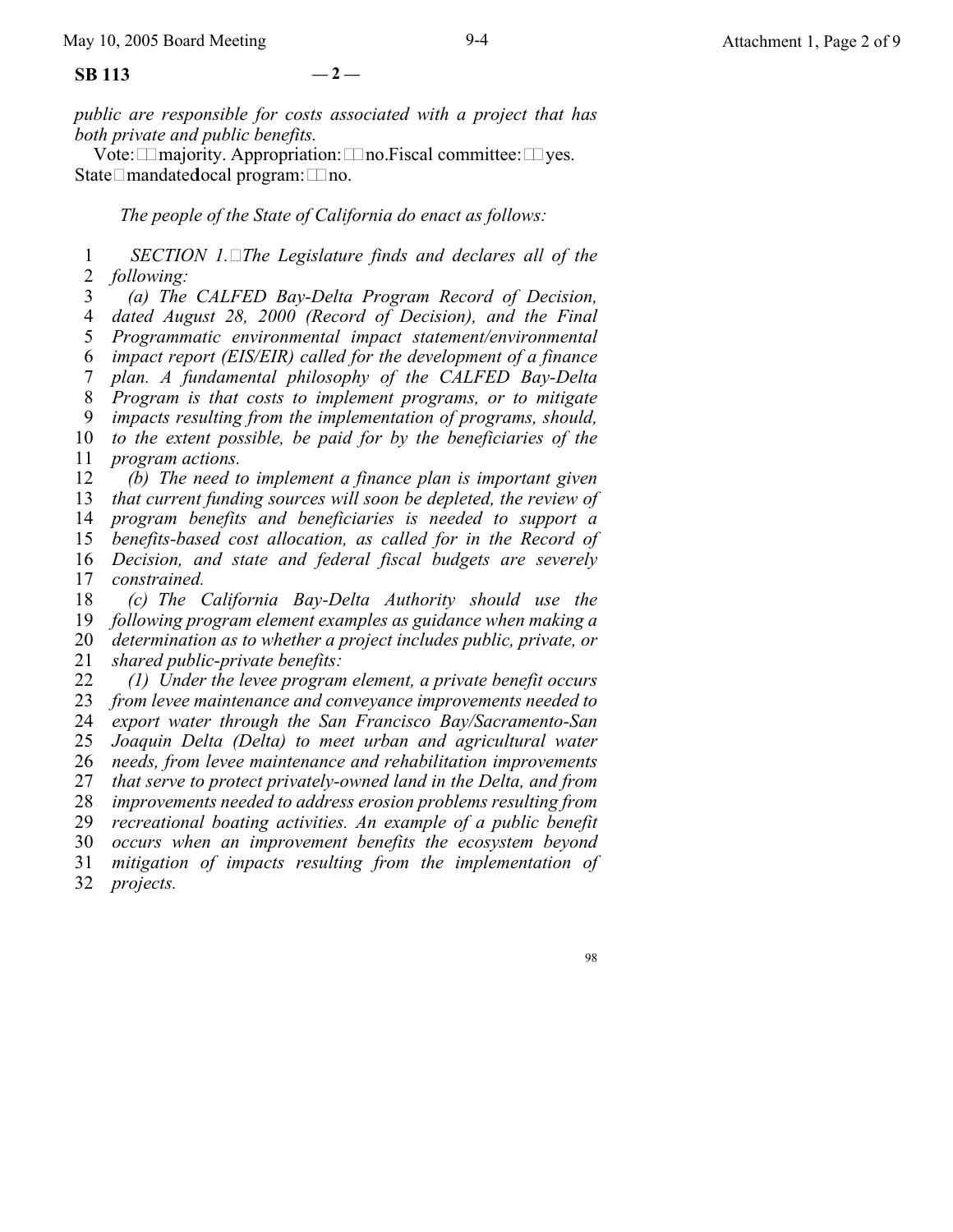*public are responsible for costs associated with a project that has both private and public benefits.*

Vote:  $\Box$  majority. Appropriation:  $\Box$  no. Fiscal committee:  $\Box$  yes. State $\Box$ mandated ocal program:  $\Box$  no.

*The people of the State of California do enact as follows:*

1 2 *SECTION 1.The Legislature finds and declares all of the following:*

3 4 5 6 7 8 9 10 11 12 13 14 15 16 *(a) The CALFED Bay-Delta Program Record of Decision, dated August 28, 2000 (Record of Decision), and the Final Programmatic environmental impact statement/environmental impact report (EIS/EIR) called for the development of a finance plan. A fundamental philosophy of the CALFED Bay-Delta Program is that costs to implement programs, or to mitigate impacts resulting from the implementation of programs, should, to the extent possible, be paid for by the beneficiaries of the program actions. (b) The need to implement a finance plan is important given that current funding sources will soon be depleted, the review of program benefits and beneficiaries is needed to support a benefits-based cost allocation, as called for in the Record of Decision, and state and federal fiscal budgets are severely*

17 *constrained.*

18 19 20 *(c) The California Bay-Delta Authority should use the following program element examples as guidance when making a determination as to whether a project includes public, private, or*

21 *shared public-private benefits:*

22 23 24 25 26 27 28 29 30 31 32 *(1) Under the levee program element, a private benefit occurs from levee maintenance and conveyance improvements needed to export water through the San Francisco Bay/Sacramento-San Joaquin Delta (Delta) to meet urban and agricultural water needs, from levee maintenance and rehabilitation improvements that serve to protect privately-owned land in the Delta, and from improvements needed to address erosion problems resulting from recreational boating activities. An example of a public benefit occurs when an improvement benefits the ecosystem beyond mitigation of impacts resulting from the implementation of projects.*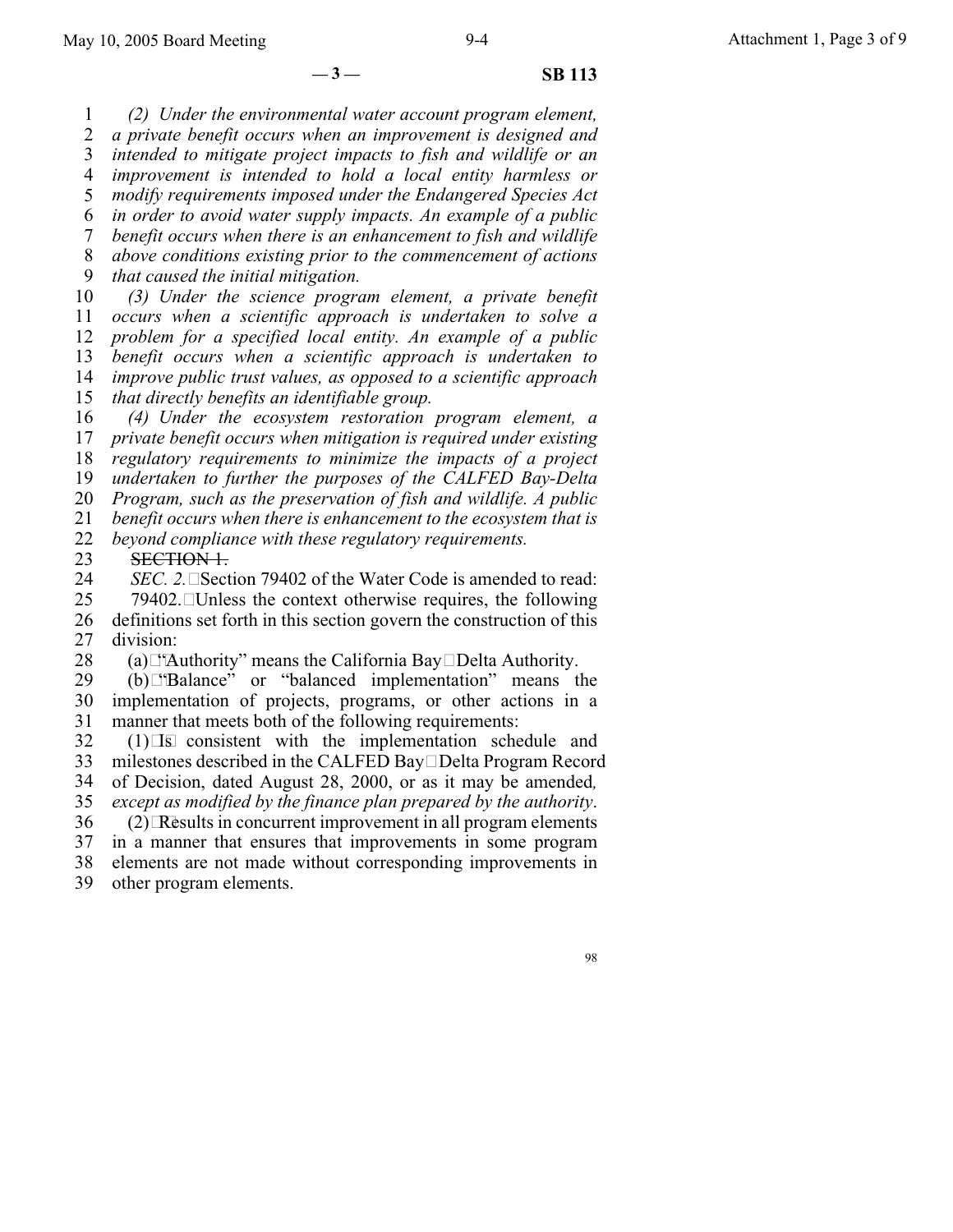$-3 -$  **SB** 113

1 2 3 4 5 6 7 8 9 10 11 12 13 14 15 *(2) Under the environmental water account program element, a private benefit occurs when an improvement is designed and intended to mitigate project impacts to fish and wildlife or an improvement is intended to hold a local entity harmless or modify requirements imposed under the Endangered Species Act in order to avoid water supply impacts. An example of a public benefit occurs when there is an enhancement to fish and wildlife above conditions existing prior to the commencement of actions that caused the initial mitigation. (3) Under the science program element, a private benefit occurs when a scientific approach is undertaken to solve a problem for a specified local entity. An example of a public benefit occurs when a scientific approach is undertaken to improve public trust values, as opposed to a scientific approach that directly benefits an identifiable group.*

16 17 18 19 20 21 22 *(4) Under the ecosystem restoration program element, a private benefit occurs when mitigation is required under existing regulatory requirements to minimize the impacts of a project undertaken to further the purposes of the CALFED Bay-Delta Program, such as the preservation of fish and wildlife. A public benefit occurs when there is enhancement to the ecosystem that is beyond compliance with these regulatory requirements.*

23 SECTION 1.

24 *SEC. 2.*  $\square$  Section 79402 of the Water Code is amended to read:

25 26 27  $79402$ . Unless the context otherwise requires, the following definitions set forth in this section govern the construction of this division:

28 (a) $\Box$ 'Authority'' means the California Bay $\Box$ Delta Authority.

29 30 31 (b)"Balance" or "balanced implementation" means the implementation of projects, programs, or other actions in a manner that meets both of the following requirements:

32 33  $(1)$ Is consistent with the implementation schedule and milestones described in the CALFED Bay Delta Program Record

34 of Decision, dated August 28, 2000, or as it may be amended*,*

35 *except as modified by the finance plan prepared by the authority*.

36  $(2)$  Results in concurrent improvement in all program elements

37 in a manner that ensures that improvements in some program

38 elements are not made without corresponding improvements in

39 other program elements.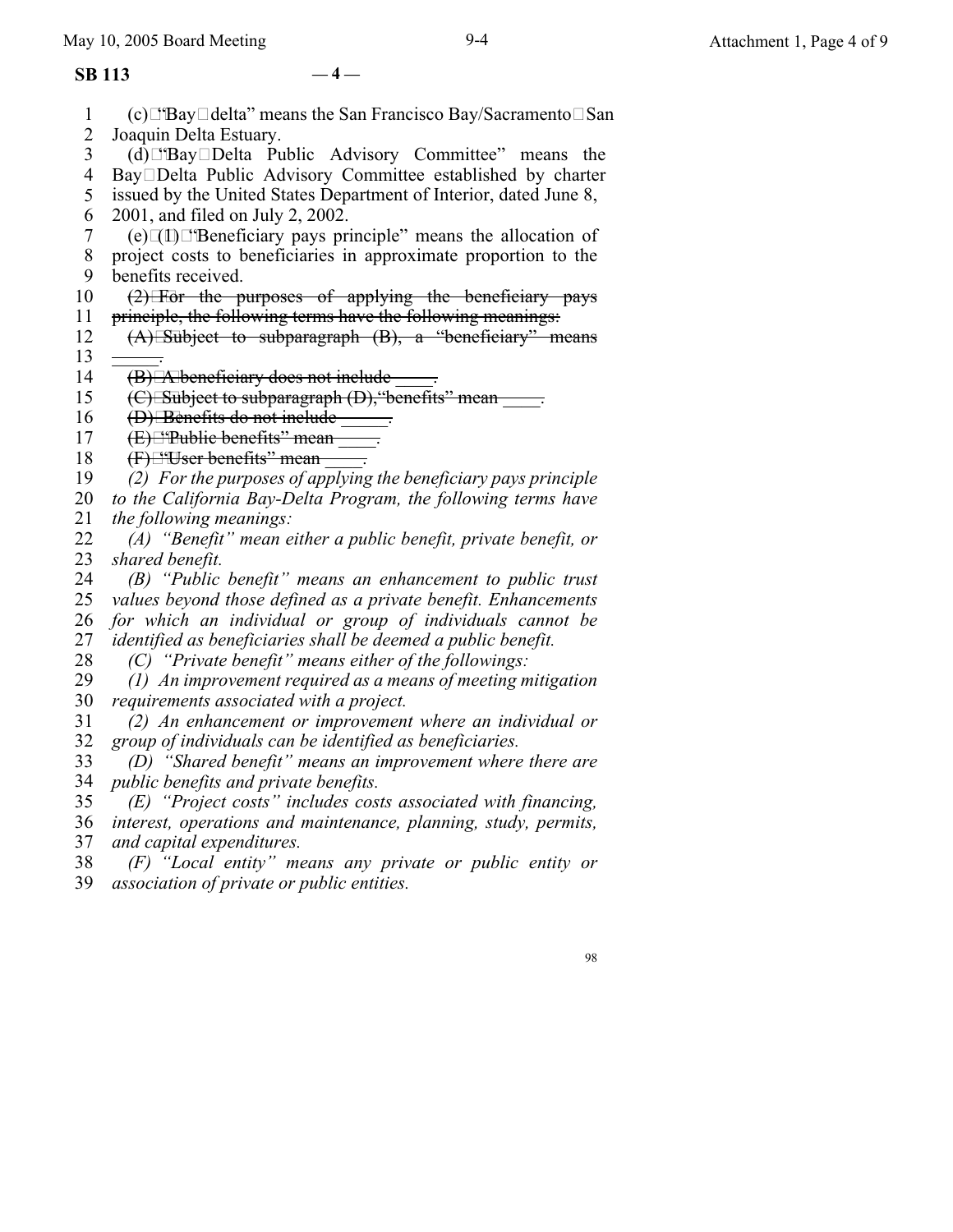#### **SB 113 — 4 —**

- 1 2 3 4 5 6 7 8 9 10 11 12 13 14 15 16 17 18 19 20 21 22 23 24 25 26 27 28 29 30 31 32 33 34 35 36 37 38 39  $(c)$   $\Box$  Bay  $\Box$  delta" means the San Francisco Bay/Sacramento  $\Box$  San Joaquin Delta Estuary. (d)"BayDelta Public Advisory Committee" means the BayDelta Public Advisory Committee established by charter issued by the United States Department of Interior, dated June 8, 2001, and filed on July 2, 2002.  $(e)$  $[$ (e) $[$ I) $[$ "Beneficiary pays principle" means the allocation of project costs to beneficiaries in approximate proportion to the benefits received.  $(2)$  For the purposes of applying the beneficiary pays principle, the following terms have the following meanings:  $(A)$  Subject to subparagraph  $(B)$ , a "beneficiary" means  $\overline{\phantom{a}}$  .  $(B)$  A beneficiary does not include  $\qquad \qquad$ . (C) Subject to subparagraph (D), "benefits" mean  $\qquad \qquad$ .  $(D)$  Benefits do not include  $\_\_$ .  $(E)$   $E$ <sup>\*</sup>Public benefits" mean  $\qquad$ .  $(F)$  "User benefits" mean  $\qquad$ . *(2) For the purposes of applying the beneficiary pays principle to the California Bay-Delta Program, the following terms have the following meanings: (A) "Benefit" mean either a public benefit, private benefit, or shared benefit. (B) "Public benefit" means an enhancement to public trust values beyond those defined as a private benefit. Enhancements for which an individual or group of individuals cannot be identified as beneficiaries shall be deemed a public benefit. (C) "Private benefit" means either of the followings: (1) An improvement required as a means of meeting mitigation requirements associated with a project. (2) An enhancement or improvement where an individual or group of individuals can be identified as beneficiaries. (D) "Shared benefit" means an improvement where there are public benefits and private benefits. (E) "Project costs" includes costs associated with financing, interest, operations and maintenance, planning, study, permits, and capital expenditures. (F) "Local entity" means any private or public entity or association of private or public entities.*
	- 98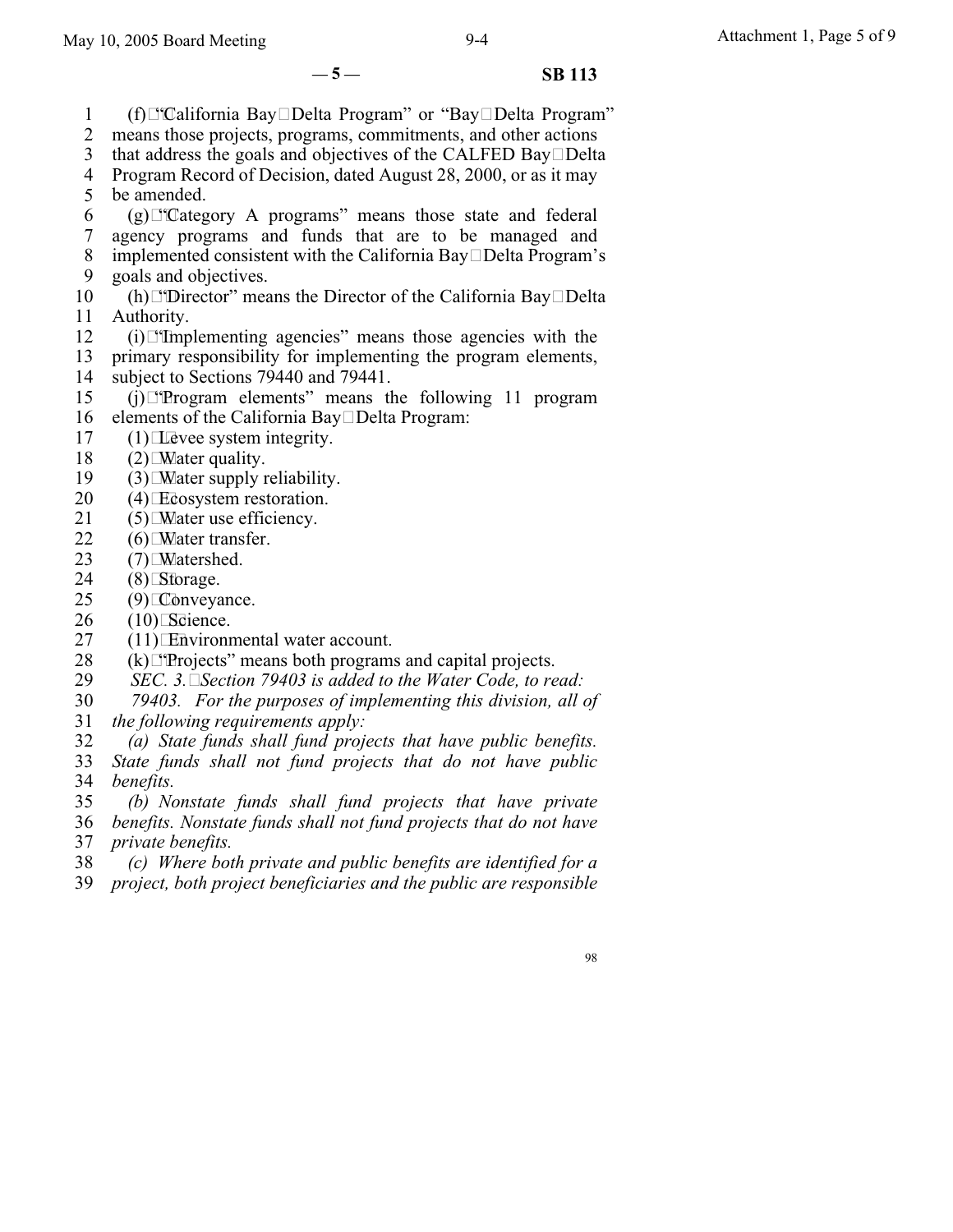1

6

11

15

19

21

 $-5 -$  **SB 113** 

2 3 4 Program Record of Decision, dated August 28, 2000, or as it may 5 7 8 9 10 12 13 14 16 17 18 20 (f)⊡"California Bay□Delta Program" or "Bay□Delta Program" means those projects, programs, commitments, and other actions that address the goals and objectives of the CALFED Bay $\square$ Delta be amended.  $(g)$  "Category A programs" means those state and federal agency programs and funds that are to be managed and implemented consistent with the California Bay $\Box$ Delta Program's goals and objectives. (h)  $\Box$  Director" means the Director of the California Bay  $\Box$  Delta Authority.  $(i)$ . The implementing agencies" means those agencies with the primary responsibility for implementing the program elements, subject to Sections 79440 and 79441.  $(i)$   $\Box$  Program elements" means the following 11 program elements of the California Bay $\square$ Delta Program:  $(1)$  Levee system integrity.  $(2)$  Mater quality.  $(3)$  Mater supply reliability. (4)Ecosystem restoration.  $(5)$  Mater use efficiency.

- 22  $(6)$  Mater transfer.
- 23  $(7)$  Matershed.
- 24  $(8)$ Storage.
- 25 (9)Conveyance.
- 26  $(10)$ Science.
- 27 (11)Environmental water account.
- 28  $(k)$   $\Box$  Projects" means both programs and capital projects.
- 29 *SEC. 3.Section 79403 is added to the Water Code, to read:*
- 30 *79403. For the purposes of implementing this division, all of*
- 31 *the following requirements apply:*
- 32 *(a) State funds shall fund projects that have public benefits.*

33 34 *State funds shall not fund projects that do not have public benefits.*

- 35 36 37 *(b) Nonstate funds shall fund projects that have private benefits. Nonstate funds shall not fund projects that do not have private benefits.*
- 38 *(c) Where both private and public benefits are identified for a*
- 39 *project, both project beneficiaries and the public are responsible*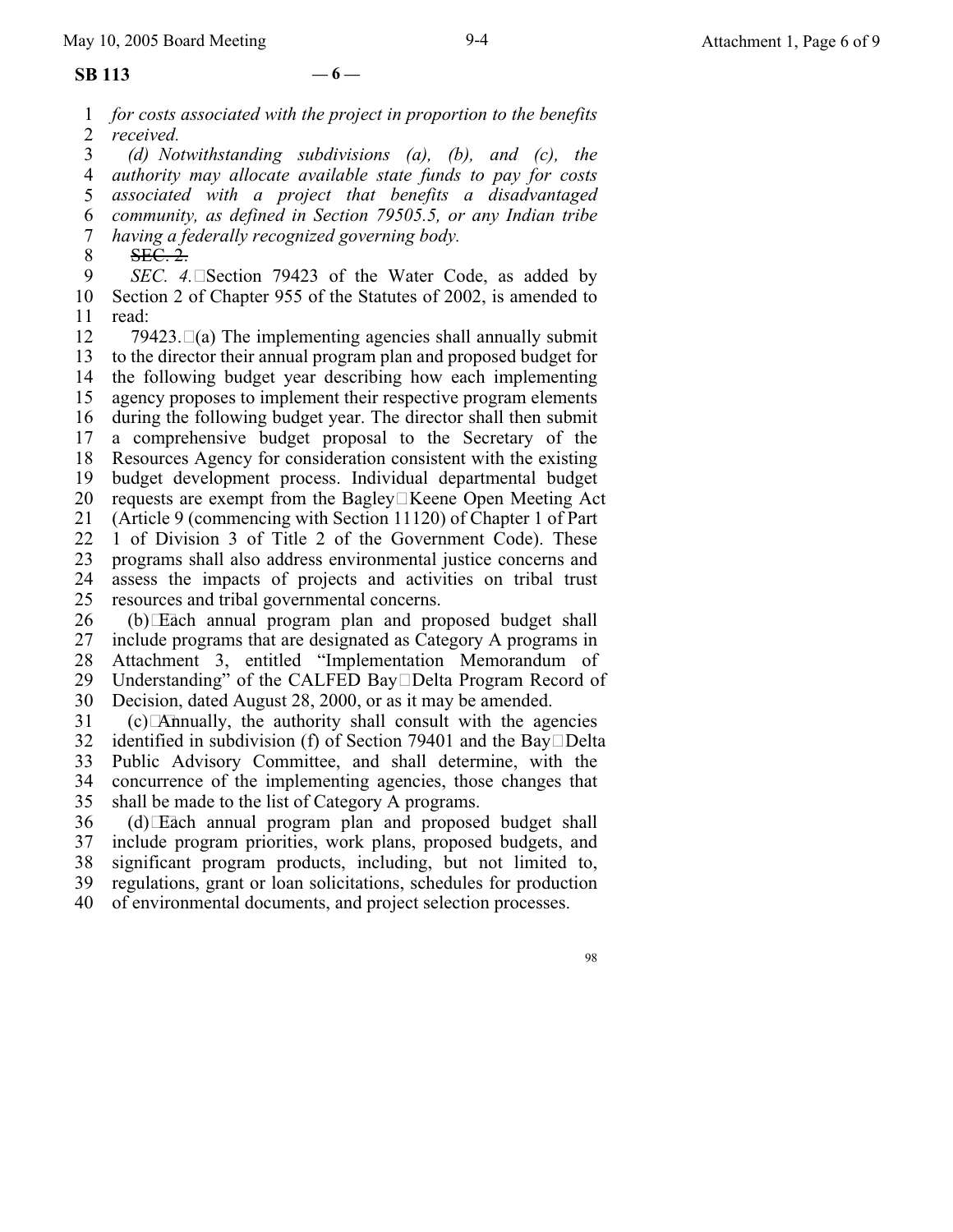#### **SB 113 — 6 —**

1 2 *for costs associated with the project in proportion to the benefits received.*

3 4 5 6 7 *(d) Notwithstanding subdivisions (a), (b), and (c), the authority may allocate available state funds to pay for costs associated with a project that benefits a disadvantaged community, as defined in Section 79505.5, or any Indian tribe having a federally recognized governing body.*

8 SEC. 2.

9 10 11 *SEC.* 4. Section 79423 of the Water Code, as added by Section 2 of Chapter 955 of the Statutes of 2002, is amended to read:

12 13 14 15 16 17 18 19 20 21 22 23 24 25 79423. $\Box$ (a) The implementing agencies shall annually submit to the director their annual program plan and proposed budget for the following budget year describing how each implementing agency proposes to implement their respective program elements during the following budget year. The director shall then submit a comprehensive budget proposal to the Secretary of the Resources Agency for consideration consistent with the existing budget development process. Individual departmental budget requests are exempt from the Bagley $\Box$ Keene Open Meeting Act (Article 9 (commencing with Section 11120) of Chapter 1 of Part 1 of Division 3 of Title 2 of the Government Code). These programs shall also address environmental justice concerns and assess the impacts of projects and activities on tribal trust resources and tribal governmental concerns.

26 27 28 29 (b)Each annual program plan and proposed budget shall include programs that are designated as Category A programs in Attachment 3, entitled "Implementation Memorandum of Understanding" of the CALFED Bay□Delta Program Record of

30 Decision, dated August 28, 2000, or as it may be amended.

31  $(c)$  Annually, the authority shall consult with the agencies

32 identified in subdivision (f) of Section 79401 and the Bay $\Box$ Delta

33 34 Public Advisory Committee, and shall determine, with the concurrence of the implementing agencies, those changes that

35 shall be made to the list of Category A programs.

36 37 38 39 (d)Each annual program plan and proposed budget shall include program priorities, work plans, proposed budgets, and significant program products, including, but not limited to, regulations, grant or loan solicitations, schedules for production

40 of environmental documents, and project selection processes.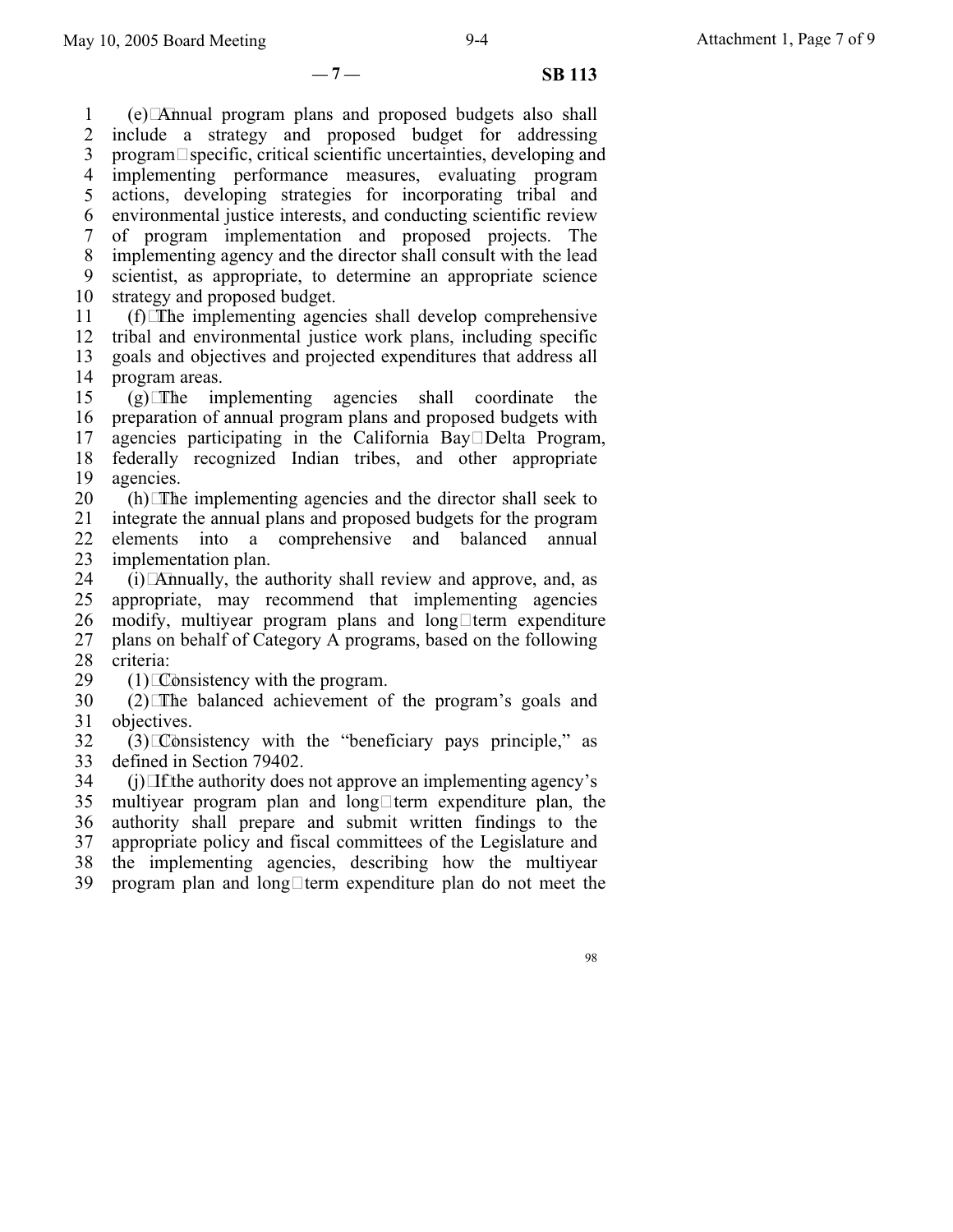**— 7 — SB 113**

1 2 3 4 5 6 7 8 9 10 (e)Annual program plans and proposed budgets also shall include a strategy and proposed budget for addressing  $\mathbf{p}$  program $\Box$ specific, critical scientific uncertainties, developing and implementing performance measures, evaluating program actions, developing strategies for incorporating tribal and environmental justice interests, and conducting scientific review of program implementation and proposed projects. The implementing agency and the director shall consult with the lead scientist, as appropriate, to determine an appropriate science strategy and proposed budget.

11 12  $(f)$  The implementing agencies shall develop comprehensive tribal and environmental justice work plans, including specific

13 14 goals and objectives and projected expenditures that address all program areas.

15 16 17 18 19  $(g)$ The implementing agencies shall coordinate the preparation of annual program plans and proposed budgets with agencies participating in the California Bay $\square$ Delta Program, federally recognized Indian tribes, and other appropriate agencies.

20 21 22  $(h)$  The implementing agencies and the director shall seek to integrate the annual plans and proposed budgets for the program elements into a comprehensive and balanced annual

23 implementation plan.

24 25 26 27 28  $(i)$  Annually, the authority shall review and approve, and, as appropriate, may recommend that implementing agencies modify, multiyear program plans and long $\Box$ term expenditure plans on behalf of Category A programs, based on the following criteria:

29  $(1)$  Consistency with the program.

30 31 (2)The balanced achievement of the program's goals and objectives.

32 33  $(3)$  Consistency with the "beneficiary pays principle," as defined in Section 79402.

34 35 36 37 38 39  $(i)$  If the authority does not approve an implementing agency's multiyear program plan and long $\Box$ term expenditure plan, the authority shall prepare and submit written findings to the appropriate policy and fiscal committees of the Legislature and the implementing agencies, describing how the multiyear program plan and long $\Box$ term expenditure plan do not meet the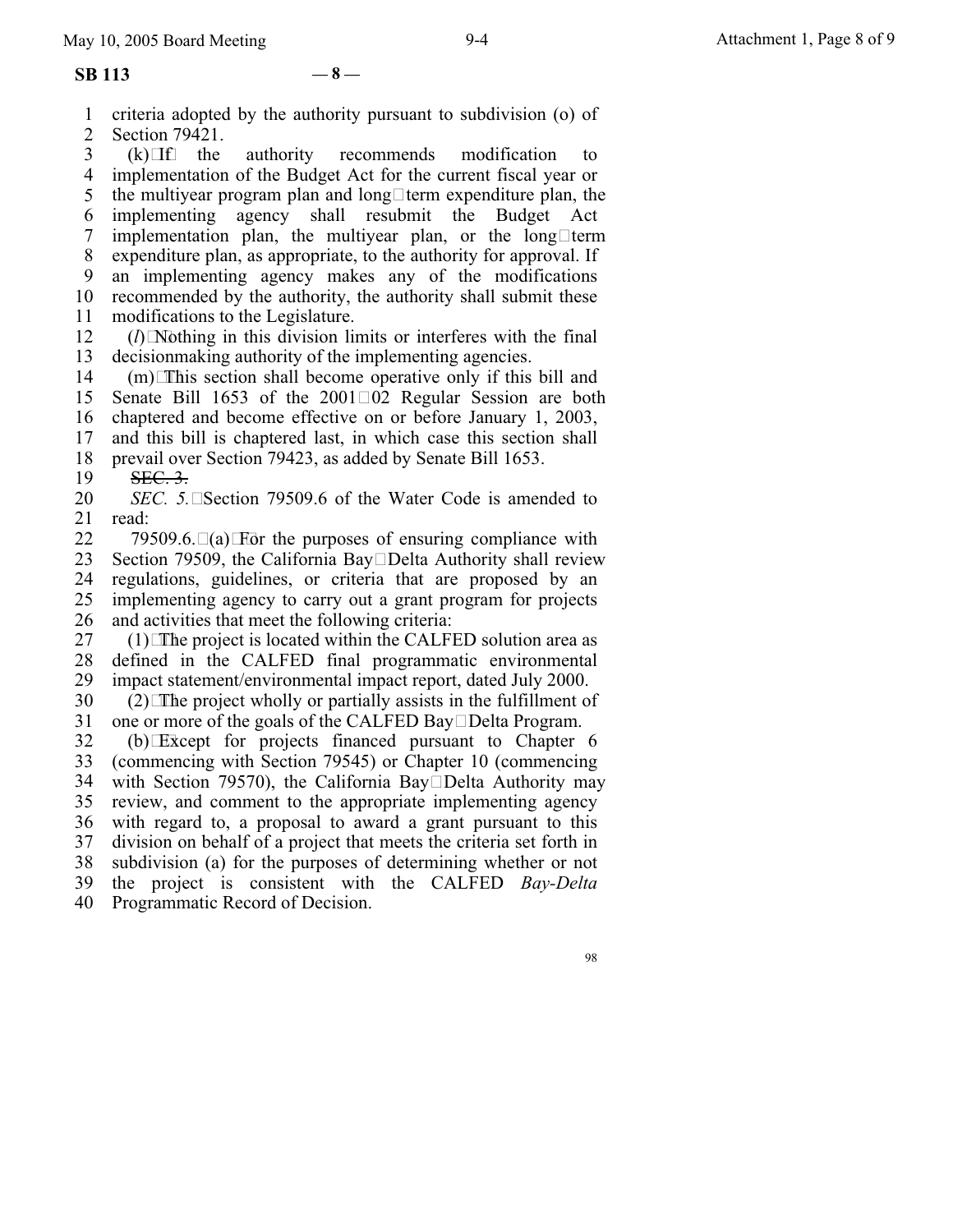1 2 criteria adopted by the authority pursuant to subdivision (o) of Section 79421.<br>(k) $\Box$ f the

3 4 5 6 7 8 9 10 11 authority recommends modification to implementation of the Budget Act for the current fiscal year or the multiyear program plan and long $\Box$  term expenditure plan, the implementing agency shall resubmit the Budget Act implementation plan, the multiyear plan, or the long $\Box$ term expenditure plan, as appropriate, to the authority for approval. If an implementing agency makes any of the modifications recommended by the authority, the authority shall submit these modifications to the Legislature.

12 13  $(l)$ Nothing in this division limits or interferes with the final decisionmaking authority of the implementing agencies.

14 15 16 17  $(m)$  This section shall become operative only if this bill and Senate Bill 1653 of the  $2001\Box 02$  Regular Session are both chaptered and become effective on or before January 1, 2003, and this bill is chaptered last, in which case this section shall

18 prevail over Section 79423, as added by Senate Bill 1653.

19 **SEC. 3.** 

20 21 *SEC. 5.* Section 79509.6 of the Water Code is amended to read:

22 23 24 25 26 79509.6. $\Box(a)$  For the purposes of ensuring compliance with Section 79509, the California Bay $\square$ Delta Authority shall review regulations, guidelines, or criteria that are proposed by an implementing agency to carry out a grant program for projects and activities that meet the following criteria:

27 28 29  $(1)$  The project is located within the CALFED solution area as defined in the CALFED final programmatic environmental impact statement/environmental impact report, dated July 2000.

30 31  $(2)$  The project wholly or partially assists in the fulfillment of one or more of the goals of the CALFED Bay Delta Program.

32 33 34 35 36 37 38 39 40 (b)Except for projects financed pursuant to Chapter 6 (commencing with Section 79545) or Chapter 10 (commencing with Section 79570), the California Bay $\square$ Delta Authority may review, and comment to the appropriate implementing agency with regard to, a proposal to award a grant pursuant to this division on behalf of a project that meets the criteria set forth in subdivision (a) for the purposes of determining whether or not the project is consistent with the CALFED *Bay-Delta* Programmatic Record of Decision.